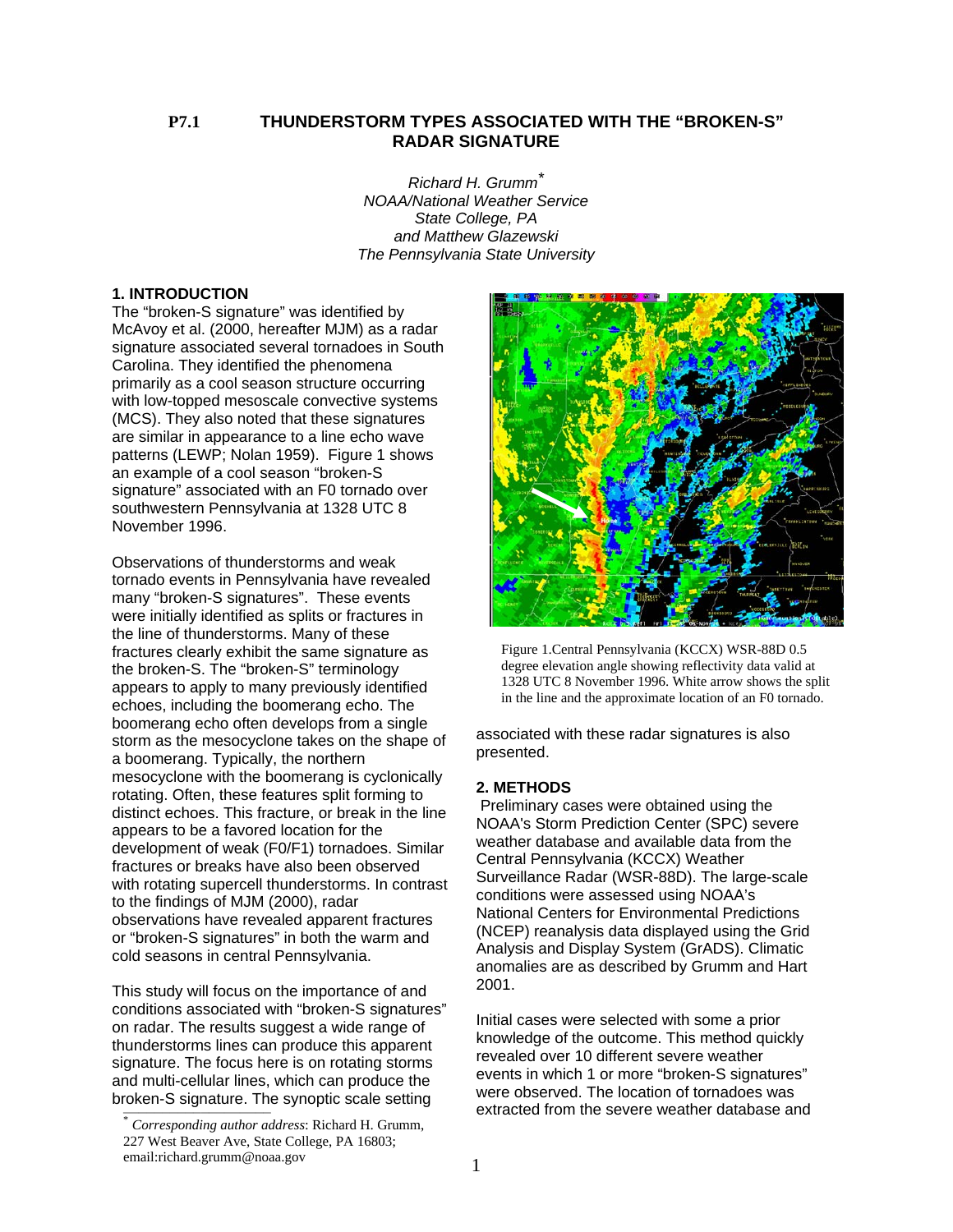# **P7.1 THUNDERSTORM TYPES ASSOCIATED WITH THE "BROKEN-S" RADAR SIGNATURE**

*Richard H. Grumm\* NOAA/National Weather Service State College, PA and Matthew Glazewski The Pennsylvania State University*

## **1. INTRODUCTION**

The "broken-S signature" was identified by McAvoy et al. (2000, hereafter MJM) as a radar signature associated several tornadoes in South Carolina. They identified the phenomena primarily as a cool season structure occurring with low-topped mesoscale convective systems (MCS). They also noted that these signatures are similar in appearance to a line echo wave patterns (LEWP; Nolan 1959). Figure 1 shows an example of a cool season "broken-S signature" associated with an F0 tornado over southwestern Pennsylvania at 1328 UTC 8 November 1996.

Observations of thunderstorms and weak tornado events in Pennsylvania have revealed many "broken-S signatures". These events were initially identified as splits or fractures in the line of thunderstorms. Many of these fractures clearly exhibit the same signature as the broken-S. The "broken-S" terminology appears to apply to many previously identified echoes, including the boomerang echo. The boomerang echo often develops from a single storm as the mesocyclone takes on the shape of a boomerang. Typically, the northern mesocyclone with the boomerang is cyclonically rotating. Often, these features split forming to distinct echoes. This fracture, or break in the line appears to be a favored location for the development of weak (F0/F1) tornadoes. Similar fractures or breaks have also been observed with rotating supercell thunderstorms. In contrast to the findings of MJM (2000), radar observations have revealed apparent fractures or "broken-S signatures" in both the warm and cold seasons in central Pennsylvania.

This study will focus on the importance of and conditions associated with "broken-S signatures" on radar. The results suggest a wide range of thunderstorms lines can produce this apparent signature. The focus here is on rotating storms and multi-cellular lines, which can produce the



Figure 1.Central Pennsylvania (KCCX) WSR-88D 0.5 degree elevation angle showing reflectivity data valid at 1328 UTC 8 November 1996. White arrow shows the split in the line and the approximate location of an F0 tornado.

associated with these radar signatures is also presented.

#### **2. METHODS**

 Preliminary cases were obtained using the NOAA's Storm Prediction Center (SPC) severe weather database and available data from the Central Pennsylvania (KCCX) Weather Surveillance Radar (WSR-88D). The large-scale conditions were assessed using NOAA's National Centers for Environmental Predictions (NCEP) reanalysis data displayed using the Grid Analysis and Display System (GrADS). Climatic anomalies are as described by Grumm and Hart 2001.

and main solidial lines, which said produce the<br>broken-S signature. The synoptic scale setting<br>*torresponding author address*: Richard H. Grumm,<br> $\frac{1}{100}$  extracted from the severe weather database and Initial cases were selected with some a prior knowledge of the outcome. This method quickly revealed over 10 different severe weather events in which 1 or more "broken-S signatures"

<sup>227</sup> West Beaver Ave, State College, PA 16803; email:richard.grumm@noaa.gov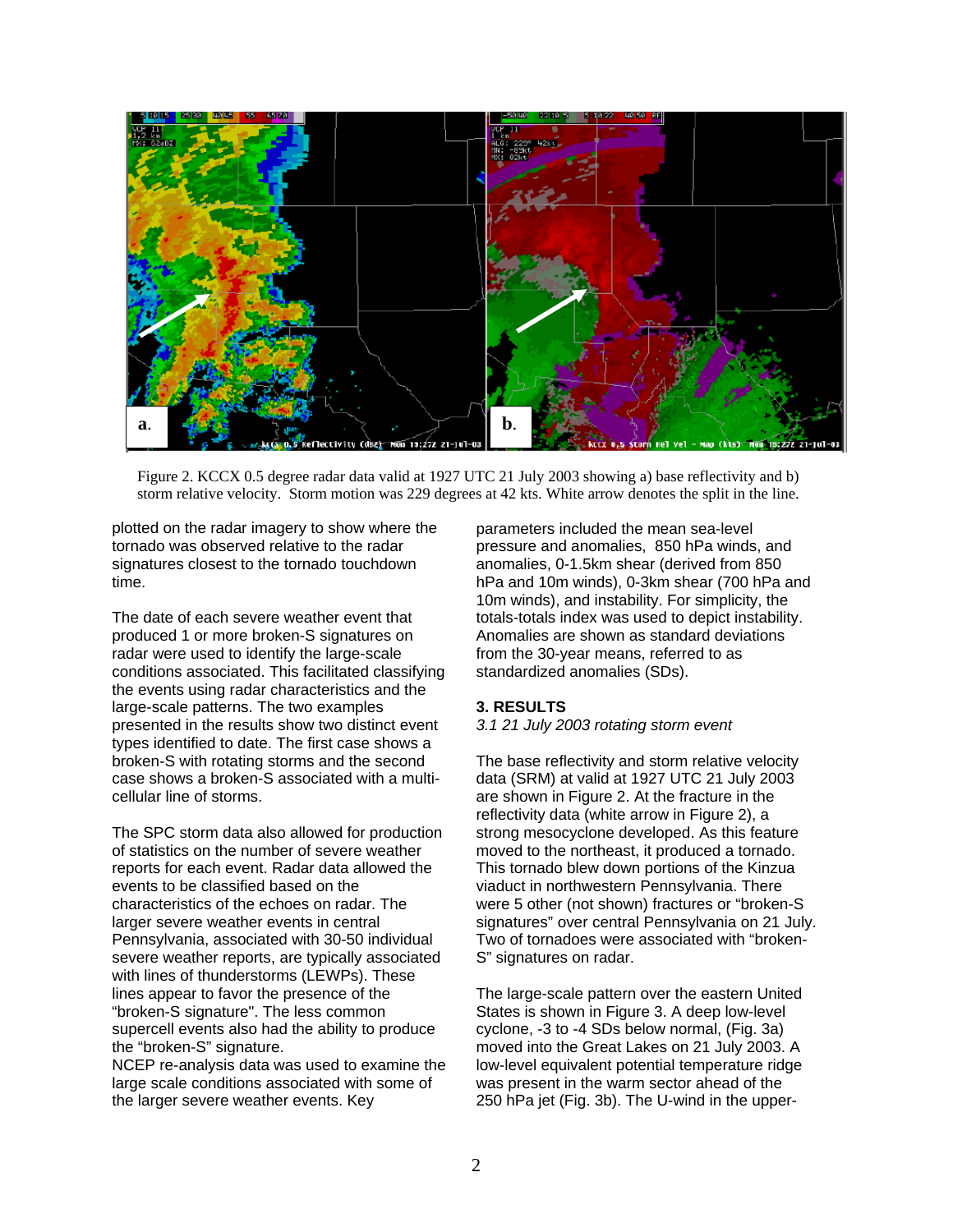

Figure 2. KCCX 0.5 degree radar data valid at 1927 UTC 21 July 2003 showing a) base reflectivity and b) storm relative velocity. Storm motion was 229 degrees at 42 kts. White arrow denotes the split in the line.

plotted on the radar imagery to show where the tornado was observed relative to the radar signatures closest to the tornado touchdown time.

The date of each severe weather event that produced 1 or more broken-S signatures on radar were used to identify the large-scale conditions associated. This facilitated classifying the events using radar characteristics and the large-scale patterns. The two examples presented in the results show two distinct event types identified to date. The first case shows a broken-S with rotating storms and the second case shows a broken-S associated with a multicellular line of storms.

The SPC storm data also allowed for production of statistics on the number of severe weather reports for each event. Radar data allowed the events to be classified based on the characteristics of the echoes on radar. The larger severe weather events in central Pennsylvania, associated with 30-50 individual severe weather reports, are typically associated with lines of thunderstorms (LEWPs). These lines appear to favor the presence of the "broken-S signature". The less common supercell events also had the ability to produce the "broken-S" signature.

NCEP re-analysis data was used to examine the large scale conditions associated with some of the larger severe weather events. Key

parameters included the mean sea-level pressure and anomalies, 850 hPa winds, and anomalies, 0-1.5km shear (derived from 850 hPa and 10m winds), 0-3km shear (700 hPa and 10m winds), and instability. For simplicity, the totals-totals index was used to depict instability. Anomalies are shown as standard deviations from the 30-year means, referred to as standardized anomalies (SDs).

## **3. RESULTS**

*3.1 21 July 2003 rotating storm event* 

The base reflectivity and storm relative velocity data (SRM) at valid at 1927 UTC 21 July 2003 are shown in Figure 2. At the fracture in the reflectivity data (white arrow in Figure 2), a strong mesocyclone developed. As this feature moved to the northeast, it produced a tornado. This tornado blew down portions of the Kinzua viaduct in northwestern Pennsylvania. There were 5 other (not shown) fractures or "broken-S signatures" over central Pennsylvania on 21 July. Two of tornadoes were associated with "broken-S" signatures on radar.

The large-scale pattern over the eastern United States is shown in Figure 3. A deep low-level cyclone, -3 to -4 SDs below normal, (Fig. 3a) moved into the Great Lakes on 21 July 2003. A low-level equivalent potential temperature ridge was present in the warm sector ahead of the 250 hPa jet (Fig. 3b). The U-wind in the upper-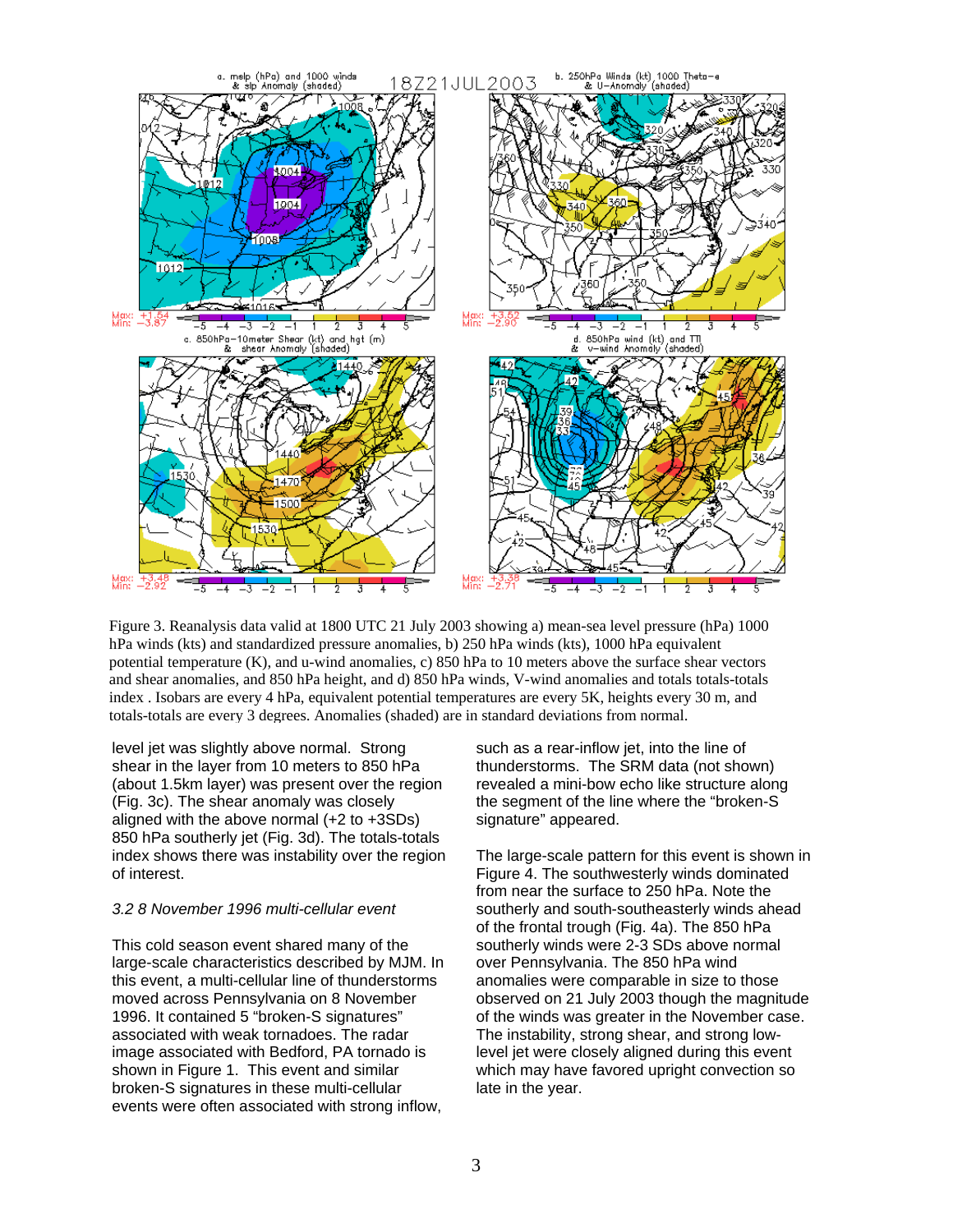

Figure 3. Reanalysis data valid at 1800 UTC 21 July 2003 showing a) mean-sea level pressure (hPa) 1000 hPa winds (kts) and standardized pressure anomalies, b) 250 hPa winds (kts), 1000 hPa equivalent potential temperature (K), and u-wind anomalies, c) 850 hPa to 10 meters above the surface shear vectors and shear anomalies, and 850 hPa height, and d) 850 hPa winds, V-wind anomalies and totals totals-totals index . Isobars are every 4 hPa, equivalent potential temperatures are every 5K, heights every 30 m, and totals-totals are every 3 degrees. Anomalies (shaded) are in standard deviations from normal.

level jet was slightly above normal. Strong shear in the layer from 10 meters to 850 hPa (about 1.5km layer) was present over the region (Fig. 3c). The shear anomaly was closely aligned with the above normal (+2 to +3SDs) 850 hPa southerly jet (Fig. 3d). The totals-totals index shows there was instability over the region of interest.

#### *3.2 8 November 1996 multi-cellular event*

This cold season event shared many of the large-scale characteristics described by MJM. In this event, a multi-cellular line of thunderstorms moved across Pennsylvania on 8 November 1996. It contained 5 "broken-S signatures" associated with weak tornadoes. The radar image associated with Bedford, PA tornado is shown in Figure 1. This event and similar broken-S signatures in these multi-cellular events were often associated with strong inflow,

such as a rear-inflow jet, into the line of thunderstorms. The SRM data (not shown) revealed a mini-bow echo like structure along the segment of the line where the "broken-S signature" appeared.

The large-scale pattern for this event is shown in Figure 4. The southwesterly winds dominated from near the surface to 250 hPa. Note the southerly and south-southeasterly winds ahead of the frontal trough (Fig. 4a). The 850 hPa southerly winds were 2-3 SDs above normal over Pennsylvania. The 850 hPa wind anomalies were comparable in size to those observed on 21 July 2003 though the magnitude of the winds was greater in the November case. The instability, strong shear, and strong lowlevel jet were closely aligned during this event which may have favored upright convection so late in the year.